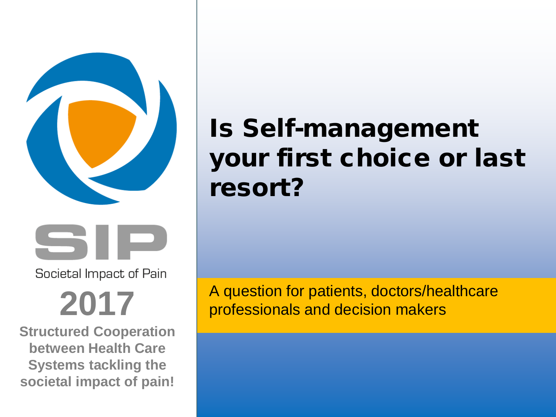



Societal Impact of Pain

# **2017**

**Structured Cooperation between Health Care Systems tackling the societal impact of pain!**

# Is Self-management your first choice or last resort?

A question for patients, doctors/healthcare professionals and decision makers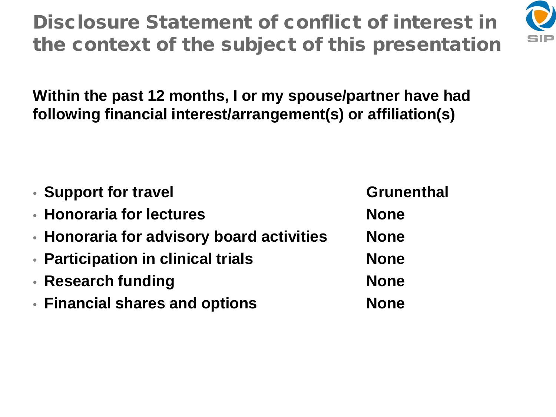Disclosure Statement of conflict of interest in the context of the subject of this presentation



**Within the past 12 months, I or my spouse/partner have had following financial interest/arrangement(s) or affiliation(s)**

| • Support for travel                      | <b>Grunenthal</b> |
|-------------------------------------------|-------------------|
| • Honoraria for lectures                  | <b>None</b>       |
| • Honoraria for advisory board activities | <b>None</b>       |
| • Participation in clinical trials        | <b>None</b>       |
| • Research funding                        | <b>None</b>       |
| • Financial shares and options            | <b>None</b>       |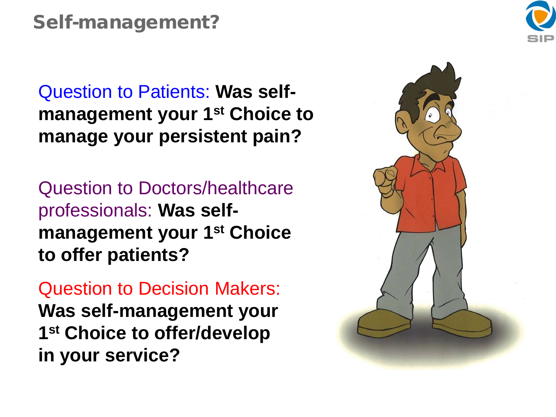#### Self-management?

Question to Patients: **Was selfmanagement your 1st Choice to manage your persistent pain?** 

Question to Doctors/healthcare professionals: **Was selfmanagement your 1st Choice to offer patients?** 

Question to Decision Makers: **Was self-management your 1st Choice to offer/develop in your service?** 

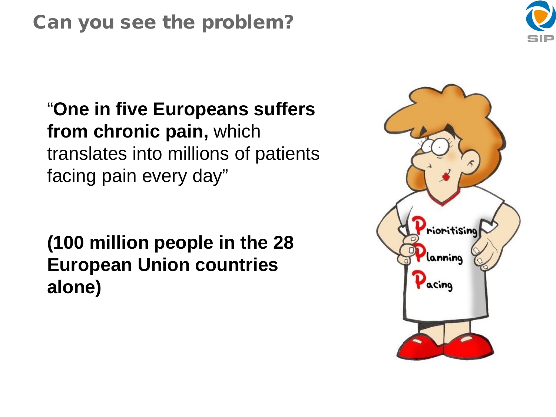#### Can you see the problem?



"**One in five Europeans suffers from chronic pain,** which translates into millions of patients facing pain every day"

**(100 million people in the 28 European Union countries alone)** 

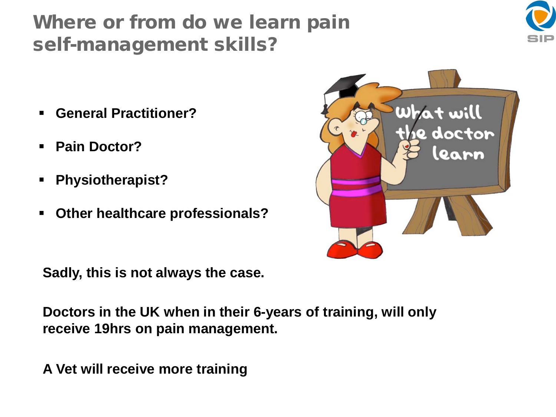### Where or from do we learn pain self-management skills?



- **General Practitioner?**
- **Pain Doctor?**
- **Physiotherapist?**
- **Other healthcare professionals?**

**Sadly, this is not always the case.**

**Doctors in the UK when in their 6-years of training, will only receive 19hrs on pain management.** 

**A Vet will receive more training**

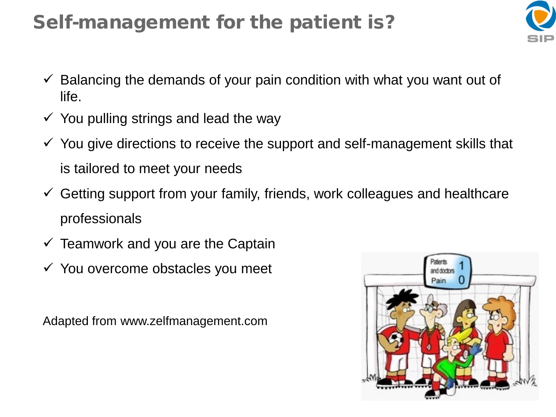### Self-management for the patient is?



- $\checkmark$  Balancing the demands of your pain condition with what you want out of life.
- $\checkmark$  You pulling strings and lead the way
- $\checkmark$  You give directions to receive the support and self-management skills that is tailored to meet your needs
- $\checkmark$  Getting support from your family, friends, work colleagues and healthcare professionals
- $\checkmark$  Teamwork and you are the Captain
- $\checkmark$  You overcome obstacles you meet

Adapted from www.zelfmanagement.com

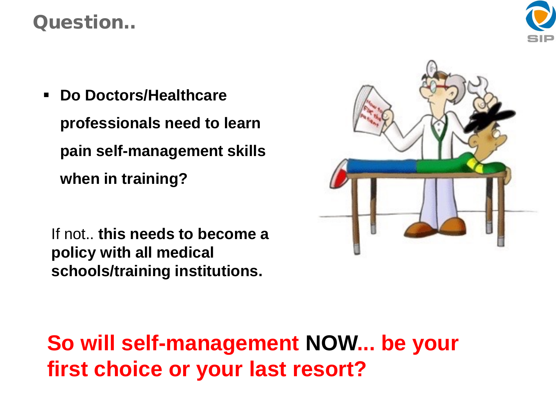#### Question..



 **Do Doctors/Healthcare professionals need to learn pain self-management skills when in training?**

If not.. **this needs to become a policy with all medical schools/training institutions.**



**So will self-management NOW... be your first choice or your last resort?**